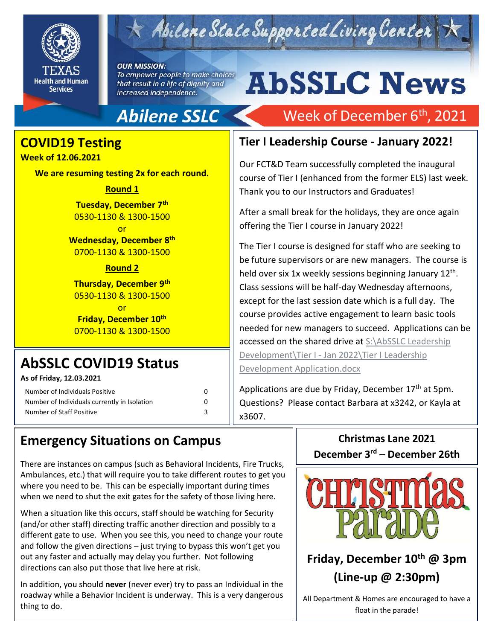

## Abilene State Supported Living Center

#### **OUR MISSION:**

To empower people to make choices that result in a life of dignity and increased independence.

# **AbSSLC News**

Week of December 6<sup>th</sup>, 2021

## **Abilene SSLC**

## **COVID19 Testing**

#### **Week of 12.06.2021**

**We are resuming testing 2x for each round.** 

#### **Round 1**

**Tuesday, December 7th** 0530-1130 & 1300-1500

or

**Wednesday, December 8th** 0700-1130 & 1300-1500

#### **Round 2**

**Thursday, December 9th** 0530-1130 & 1300-1500

or

**Friday, December 10th** 0700-1130 & 1300-1500

## **AbSSLC COVID19 Status**

**As of Friday, 12.03.2021**

| Number of Individuals Positive                                           |  |
|--------------------------------------------------------------------------|--|
| Number of Individuals currently in Isolation<br>Number of Staff Positive |  |

### **Tier I Leadership Course - January 2022!**

Our FCT&D Team successfully completed the inaugural course of Tier I (enhanced from the former ELS) last week. Thank you to our Instructors and Graduates!

After a small break for the holidays, they are once again offering the Tier I course in January 2022!

course provides active engagement to learn basic tools<br>needed for now managers to susseed. Annliestiens san b The Tier I course is designed for staff who are seeking to be future supervisors or are new managers. The course is held over six 1x weekly sessions beginning January 12<sup>th</sup>. Class sessions will be half-day Wednesday afternoons, except for the last session date which is a full day. The needed for new managers to succeed. Applications can be accessed on the shared drive at S:\AbSSLC Leadership Development\Tier I - Jan 2022\Tier I Leadership [Development Application.docx](file://///DADS4SVSSLCFD01.DADS.TXNET.STATE.TX.US/ABS_Share/AbSSLC%20Leadership%20Development/Tier%20I%20-%20Jan%202022/Tier%20I%20Leadership%20Development%20Application.docx)

Applications are due by Friday, December  $17<sup>th</sup>$  at 5pm. Questions? Please contact Barbara at x3242, or Kayla at x3607.

## **Emergency Situations on Campus**

There are instances on campus (such as Behavioral Incidents, Fire Trucks, Ambulances, etc.) that will require you to take different routes to get you where you need to be. This can be especially important during times when we need to shut the exit gates for the safety of those living here.

When a situation like this occurs, staff should be watching for Security (and/or other staff) directing traffic another direction and possibly to a different gate to use. When you see this, you need to change your route and follow the given directions – just trying to bypass this won't get you out any faster and actually may delay you further. Not following directions can also put those that live here at risk.

In addition, you should **never** (never ever) try to pass an Individual in the roadway while a Behavior Incident is underway. This is a very dangerous thing to do.

**Christmas Lane 2021 December 3rd – December 26th**



## **Friday, December 10th @ 3pm (Line-up @ 2:30pm)**

All Department & Homes are encouraged to have a float in the parade!